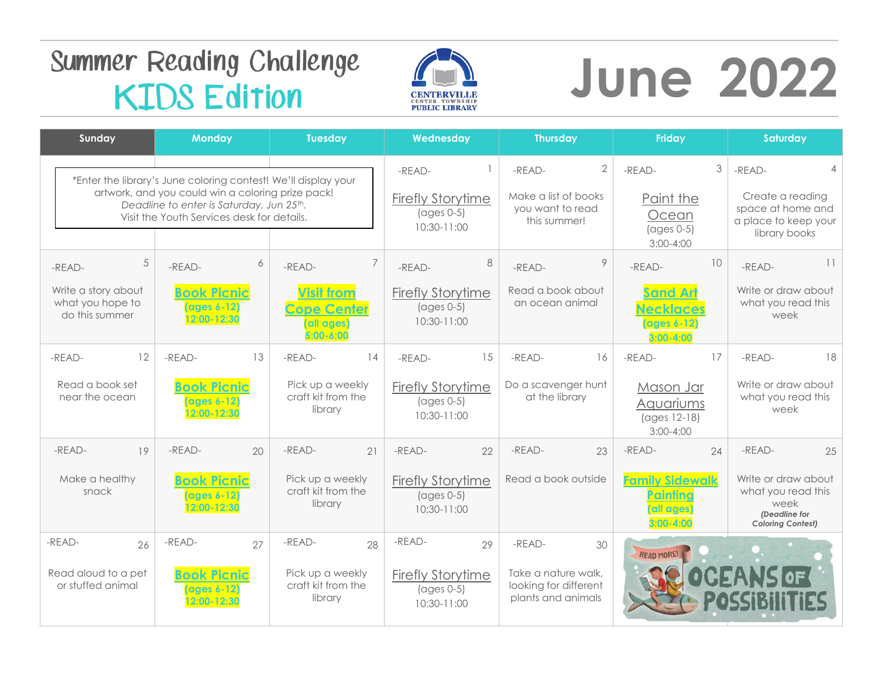## **Summer Reading Challenge KIDS Edition**



# **June 2022**

| Sunday                                                         | <b>Monday</b>                                                                                                                               | <b>Tuesday</b>                                                         | Wednesday                                                                    | <b>Thursday</b>                                                    | <b>Friday</b>                                                       | Saturday                                                                                       |
|----------------------------------------------------------------|---------------------------------------------------------------------------------------------------------------------------------------------|------------------------------------------------------------------------|------------------------------------------------------------------------------|--------------------------------------------------------------------|---------------------------------------------------------------------|------------------------------------------------------------------------------------------------|
| *Enter the library's June coloring contest! We'll display your |                                                                                                                                             |                                                                        | $-READ-$                                                                     | $\overline{2}$<br>-READ-                                           | 3<br>-READ-                                                         | -READ-                                                                                         |
|                                                                | artwork, and you could win a coloring prize pack!<br>Deadline to enter is Saturday, Jun 25th.<br>Visit the Youth Services desk for details. |                                                                        | <b>Firefly Storytime</b><br>$\left( \text{ages } 0-5 \right)$<br>10:30-11:00 | Make a list of books<br>you want to read<br>this summer!           | Paint the<br>Ocean<br>$(ages 0-5)$<br>$3:00 - 4:00$                 | Create a reading<br>space at home and<br>a place to keep your<br>library books                 |
| 5<br>-READ-                                                    | 6<br>-READ-                                                                                                                                 | -READ-                                                                 | 8<br>-READ-                                                                  | 9<br>-READ-                                                        | 10<br>-READ-                                                        | 11<br>$-RFAD-$                                                                                 |
| Write a story about<br>what you hope to<br>do this summer      | <b>Book Picnic</b><br>(ages 6-12)<br>12:00-12:30                                                                                            | <b>Visit from</b><br><b>Cope Center</b><br>(all ages)<br>$5:00 - 6:00$ | <b>Firefly Storytime</b><br>$\left( \text{ages } 0-5 \right)$<br>10:30-11:00 | Read a book about<br>an ocean animal                               | <b>Sand Art</b><br><b>Necklaces</b><br>(ages 6-12)<br>$3:00 - 4:00$ | Write or draw about<br>what you read this<br>week                                              |
| 12<br>-READ-                                                   | -READ-<br>13                                                                                                                                | -READ-<br>14                                                           | 15<br>$-RFAD-$                                                               | $-RFAD-$<br>16                                                     | 17<br>-READ-                                                        | 18<br>-READ-                                                                                   |
| Read a book set<br>near the ocean                              | <b>Book Picnic</b><br>(ages 6-12)<br>12:00-12:30                                                                                            | Pick up a weekly<br>craft kit from the<br>library                      | <b>Firefly Storytime</b><br>$\left( \text{ages } 0-5 \right)$<br>10:30-11:00 | Do a scavenger hunt<br>at the library                              | Mason Jar<br>Aquariums<br>(ages 12-18)<br>$3:00 - 4:00$             | Write or draw about<br>what you read this<br>week                                              |
| -READ-<br>19                                                   | $-READ-$<br>20                                                                                                                              | -READ-<br>21                                                           | -READ-<br>22                                                                 | -READ-<br>23                                                       | -READ-<br>24                                                        | $-READ-$<br>25                                                                                 |
| Make a healthy<br>snack                                        | <b>Book Picnic</b><br>$\left($ ages $6 - 12\right)$<br>12:00-12:30                                                                          | Pick up a weekly<br>craft kit from the<br>library                      | <b>Firefly Storytime</b><br>$\left( \text{ages } 0-5 \right)$<br>10:30-11:00 | Read a book outside                                                | <b>Family Sidewalk</b><br>Painting<br>(all ages)<br>$3:00 - 4:00$   | Write or draw about<br>what you read this<br>week<br>(Deadline for<br><b>Coloring Contest)</b> |
| -READ-<br>26                                                   | -READ-<br>27                                                                                                                                | -READ-<br>28                                                           | -READ-<br>29                                                                 | -READ-<br>30                                                       | <b>READ MORE!</b>                                                   |                                                                                                |
| Read aloud to a pet<br>or stuffed animal                       | <b>Book Picnic</b><br><b>ages 6-12</b><br>12:00-12:30                                                                                       | Pick up a weekly<br>craft kit from the<br>library                      | <b>Firefly Storytime</b><br>$\left( \text{ages } 0-5 \right)$<br>10:30-11:00 | Take a nature walk,<br>looking for different<br>plants and animals |                                                                     | SIOF                                                                                           |